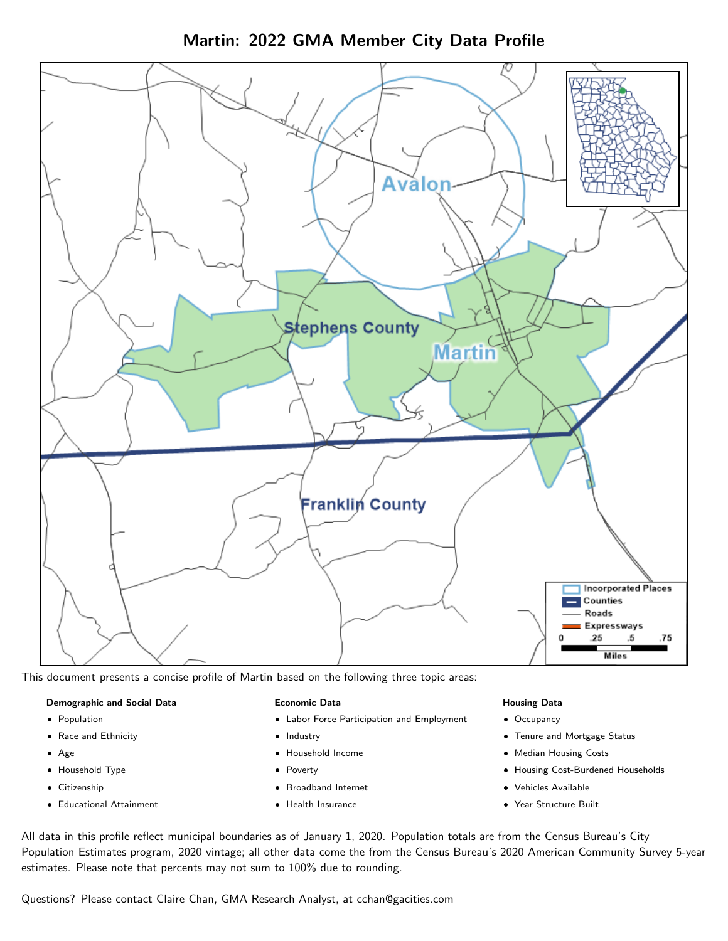Martin: 2022 GMA Member City Data Profile



This document presents a concise profile of Martin based on the following three topic areas:

#### Demographic and Social Data

- **•** Population
- Race and Ethnicity
- Age
- Household Type
- **Citizenship**
- Educational Attainment

### Economic Data

- Labor Force Participation and Employment
- Industry
- Household Income
- Poverty
- Broadband Internet
- Health Insurance

#### Housing Data

- Occupancy
- Tenure and Mortgage Status
- Median Housing Costs
- Housing Cost-Burdened Households
- Vehicles Available
- Year Structure Built

All data in this profile reflect municipal boundaries as of January 1, 2020. Population totals are from the Census Bureau's City Population Estimates program, 2020 vintage; all other data come the from the Census Bureau's 2020 American Community Survey 5-year estimates. Please note that percents may not sum to 100% due to rounding.

Questions? Please contact Claire Chan, GMA Research Analyst, at [cchan@gacities.com.](mailto:cchan@gacities.com)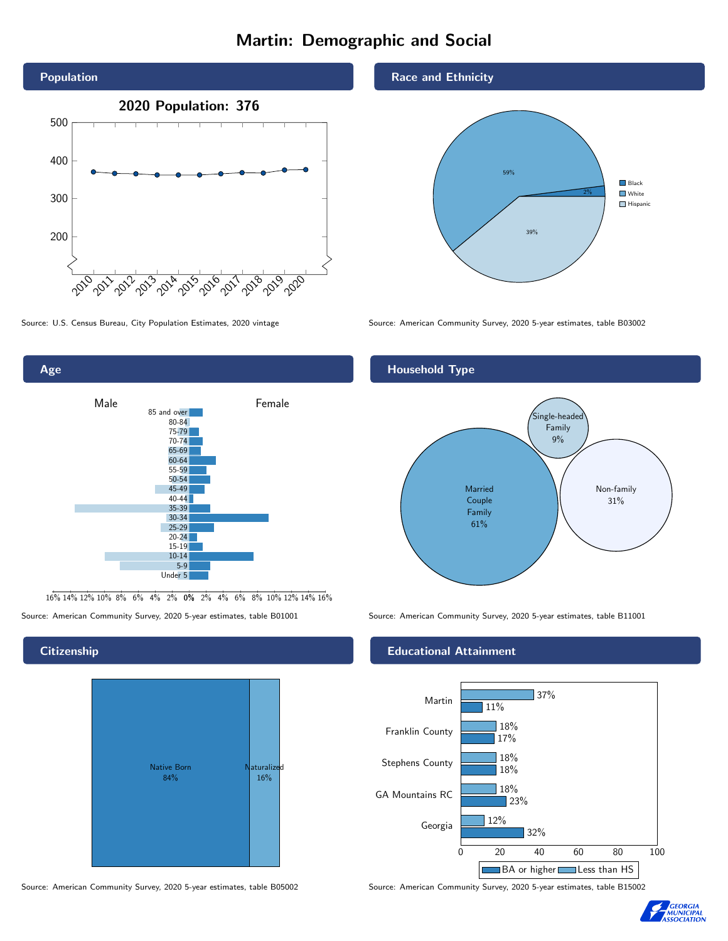# Martin: Demographic and Social





16% 14% 12% 10% 8% 6% 4% 2% 0% 2% 4% 6% 8% 10% 12% 14% 16%

Source: American Community Survey, 2020 5-year estimates, table B01001 Source: American Community Survey, 2020 5-year estimates, table B11001

## **Citizenship**



### Race and Ethnicity



Source: U.S. Census Bureau, City Population Estimates, 2020 vintage Source: American Community Survey, 2020 5-year estimates, table B03002

## Household Type



### Educational Attainment



Source: American Community Survey, 2020 5-year estimates, table B05002 Source: American Community Survey, 2020 5-year estimates, table B15002

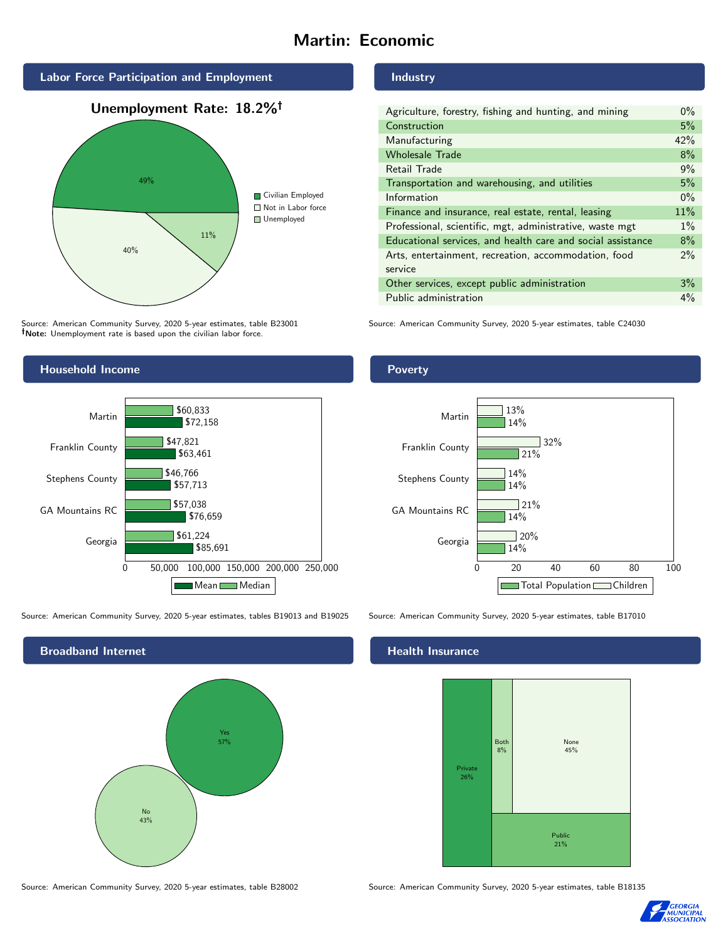# Martin: Economic



Source: American Community Survey, 2020 5-year estimates, table B23001 Note: Unemployment rate is based upon the civilian labor force.

# Household Income



Source: American Community Survey, 2020 5-year estimates, tables B19013 and B19025 Source: American Community Survey, 2020 5-year estimates, table B17010



Source: American Community Survey, 2020 5-year estimates, table B28002 Source: American Community Survey, 2020 5-year estimates, table B18135

Industry

| Agriculture, forestry, fishing and hunting, and mining      | $0\%$ |
|-------------------------------------------------------------|-------|
| Construction                                                | 5%    |
| Manufacturing                                               | 42%   |
| <b>Wholesale Trade</b>                                      | 8%    |
| Retail Trade                                                | 9%    |
| Transportation and warehousing, and utilities               | 5%    |
| Information                                                 | $0\%$ |
| Finance and insurance, real estate, rental, leasing         | 11%   |
| Professional, scientific, mgt, administrative, waste mgt    | $1\%$ |
| Educational services, and health care and social assistance | 8%    |
| Arts, entertainment, recreation, accommodation, food        | $2\%$ |
| service                                                     |       |
| Other services, except public administration                | 3%    |
| Public administration                                       | $4\%$ |

Source: American Community Survey, 2020 5-year estimates, table C24030

### Poverty



# **Health Insurance**